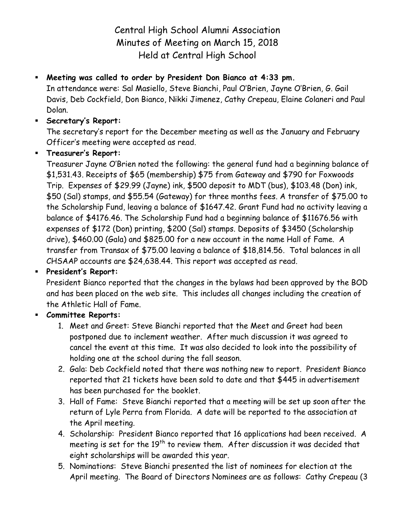Central High School Alumni Association Minutes of Meeting on March 15, 2018 Held at Central High School

# **Meeting was called to order by President Don Bianco at 4:33 pm.**

In attendance were: Sal Masiello, Steve Bianchi, Paul O'Brien, Jayne O'Brien, G. Gail Davis, Deb Cockfield, Don Bianco, Nikki Jimenez, Cathy Crepeau, Elaine Colaneri and Paul Dolan.

### **Secretary's Report:**

The secretary's report for the December meeting as well as the January and February Officer's meeting were accepted as read.

## **Treasurer's Report:**

Treasurer Jayne O'Brien noted the following: the general fund had a beginning balance of \$1,531.43. Receipts of \$65 (membership) \$75 from Gateway and \$790 for Foxwoods Trip. Expenses of \$29.99 (Jayne) ink, \$500 deposit to MDT (bus), \$103.48 (Don) ink, \$50 (Sal) stamps, and \$55.54 (Gateway) for three months fees. A transfer of \$75.00 to the Scholarship Fund, leaving a balance of \$1647.42. Grant Fund had no activity leaving a balance of \$4176.46. The Scholarship Fund had a beginning balance of \$11676.56 with expenses of \$172 (Don) printing, \$200 (Sal) stamps. Deposits of \$3450 (Scholarship drive), \$460.00 (Gala) and \$825.00 for a new account in the name Hall of Fame. A transfer from Transax of \$75.00 leaving a balance of \$18,814.56. Total balances in all CHSAAP accounts are \$24,638.44. This report was accepted as read.

## **President's Report:**

President Bianco reported that the changes in the bylaws had been approved by the BOD and has been placed on the web site. This includes all changes including the creation of the Athletic Hall of Fame.

#### **Committee Reports:**

- 1. Meet and Greet: Steve Bianchi reported that the Meet and Greet had been postponed due to inclement weather. After much discussion it was agreed to cancel the event at this time. It was also decided to look into the possibility of holding one at the school during the fall season.
- 2. Gala: Deb Cockfield noted that there was nothing new to report. President Bianco reported that 21 tickets have been sold to date and that \$445 in advertisement has been purchased for the booklet.
- 3. Hall of Fame: Steve Bianchi reported that a meeting will be set up soon after the return of Lyle Perra from Florida. A date will be reported to the association at the April meeting.
- 4. Scholarship: President Bianco reported that 16 applications had been received. A meeting is set for the  $19<sup>th</sup>$  to review them. After discussion it was decided that eight scholarships will be awarded this year.
- 5. Nominations: Steve Bianchi presented the list of nominees for election at the April meeting. The Board of Directors Nominees are as follows: Cathy Crepeau (3